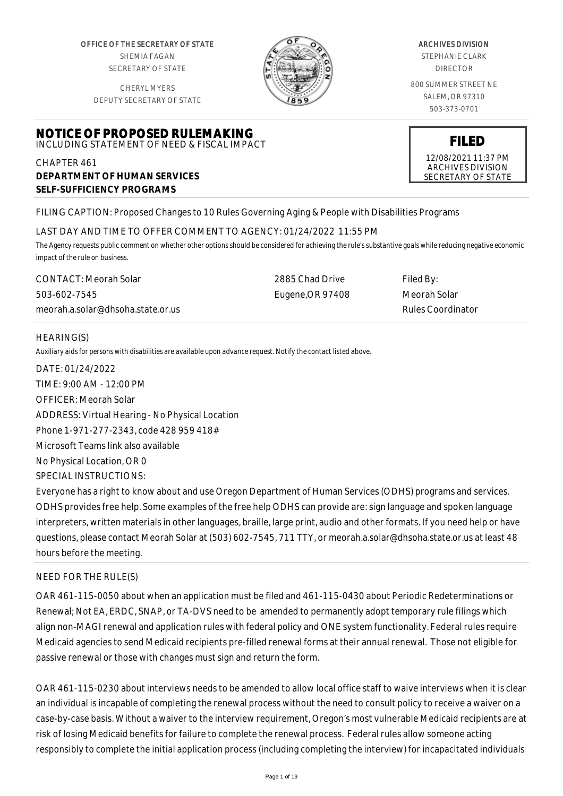OFFICE OF THE SECRETARY OF STATE SHEMIA FAGAN SECRETARY OF STATE

CHERYL MYERS DEPUTY SECRETARY OF STATE



# CHAPTER 461 **DEPARTMENT OF HUMAN SERVICES SELF-SUFFICIENCY PROGRAMS**

FILING CAPTION: Proposed Changes to 10 Rules Governing Aging & People with Disabilities Programs

### LAST DAY AND TIME TO OFFER COMMENT TO AGENCY: 01/24/2022 11:55 PM

*The Agency requests public comment on whether other options should be considered for achieving the rule's substantive goals while reducing negative economic impact of the rule on business.*

CONTACT: Meorah Solar 503-602-7545 meorah.a.solar@dhsoha.state.or.us 2885 Chad Drive Eugene,OR 97408 Filed By: Meorah Solar Rules Coordinator

# HEARING(S)

*Auxiliary aids for persons with disabilities are available upon advance request. Notify the contact listed above.*

DATE: 01/24/2022 TIME: 9:00 AM - 12:00 PM OFFICER: Meorah Solar ADDRESS: Virtual Hearing - No Physical Location Phone 1-971-277-2343, code 428 959 418# Microsoft Teams link also available No Physical Location, OR 0 SPECIAL INSTRUCTIONS: Everyone has a right to know about and use Oregon Department of Human Services (ODHS) programs and services. ODHS provides free help. Some examples of the free help ODHS can provide are: sign language and spoken language interpreters, written materials in other languages, braille, large print, audio and other formats. If you need help or have questions, please contact Meorah Solar at (503) 602-7545, 711 TTY, or meorah.a.solar@dhsoha.state.or.us at least 48

# NEED FOR THE RULE(S)

hours before the meeting.

OAR 461-115-0050 about when an application must be filed and 461-115-0430 about Periodic Redeterminations or Renewal; Not EA, ERDC, SNAP, or TA-DVS need to be amended to permanently adopt temporary rule filings which align non-MAGI renewal and application rules with federal policy and ONE system functionality. Federal rules require Medicaid agencies to send Medicaid recipients pre-filled renewal forms at their annual renewal. Those not eligible for passive renewal or those with changes must sign and return the form.

OAR 461-115-0230 about interviews needs to be amended to allow local office staff to waive interviews when it is clear an individual is incapable of completing the renewal process without the need to consult policy to receive a waiver on a case-by-case basis. Without a waiver to the interview requirement, Oregon's most vulnerable Medicaid recipients are at risk of losing Medicaid benefits for failure to complete the renewal process. Federal rules allow someone acting responsibly to complete the initial application process (including completing the interview) for incapacitated individuals

ARCHIVES DIVISION

STEPHANIE CLARK DIRECTOR

800 SUMMER STREET NE SALEM, OR 97310 503-373-0701



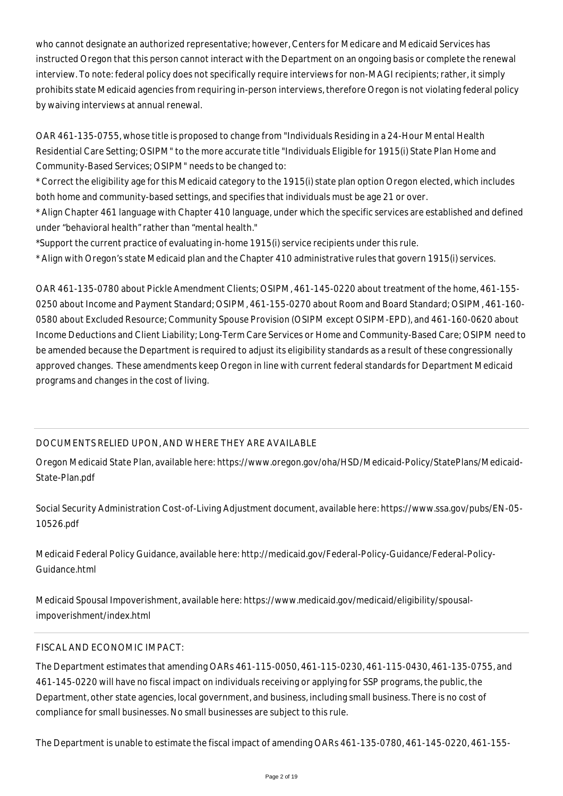who cannot designate an authorized representative; however, Centers for Medicare and Medicaid Services has instructed Oregon that this person cannot interact with the Department on an ongoing basis or complete the renewal interview. To note: federal policy does not specifically require interviews for non-MAGI recipients; rather, it simply prohibits state Medicaid agencies from requiring in-person interviews, therefore Oregon is not violating federal policy by waiving interviews at annual renewal.

OAR 461-135-0755, whose title is proposed to change from "Individuals Residing in a 24-Hour Mental Health Residential Care Setting; OSIPM" to the more accurate title "Individuals Eligible for 1915(i) State Plan Home and Community-Based Services; OSIPM" needs to be changed to:

\* Correct the eligibility age for this Medicaid category to the 1915(i) state plan option Oregon elected, which includes both home and community-based settings, and specifies that individuals must be age 21 or over.

\* Align Chapter 461 language with Chapter 410 language, under which the specific services are established and defined under "behavioral health" rather than "mental health."

\*Support the current practice of evaluating in-home 1915(i) service recipients under this rule.

\* Align with Oregon's state Medicaid plan and the Chapter 410 administrative rules that govern 1915(i) services.

OAR 461-135-0780 about Pickle Amendment Clients; OSIPM, 461-145-0220 about treatment of the home, 461-155- 0250 about Income and Payment Standard; OSIPM, 461-155-0270 about Room and Board Standard; OSIPM, 461-160- 0580 about Excluded Resource; Community Spouse Provision (OSIPM except OSIPM-EPD), and 461-160-0620 about Income Deductions and Client Liability; Long-Term Care Services or Home and Community-Based Care; OSIPM need to be amended because the Department is required to adjust its eligibility standards as a result of these congressionally approved changes. These amendments keep Oregon in line with current federal standards for Department Medicaid programs and changes in the cost of living.

# DOCUMENTS RELIED UPON, AND WHERE THEY ARE AVAILABLE

Oregon Medicaid State Plan, available here: https://www.oregon.gov/oha/HSD/Medicaid-Policy/StatePlans/Medicaid-State-Plan.pdf

Social Security Administration Cost-of-Living Adjustment document, available here: https://www.ssa.gov/pubs/EN-05- 10526.pdf

Medicaid Federal Policy Guidance, available here: http://medicaid.gov/Federal-Policy-Guidance/Federal-Policy-Guidance.html

Medicaid Spousal Impoverishment, available here: https://www.medicaid.gov/medicaid/eligibility/spousalimpoverishment/index.html

# FISCAL AND ECONOMIC IMPACT:

The Department estimates that amending OARs 461-115-0050, 461-115-0230, 461-115-0430, 461-135-0755, and 461-145-0220 will have no fiscal impact on individuals receiving or applying for SSP programs, the public, the Department, other state agencies, local government, and business, including small business. There is no cost of compliance for small businesses. No small businesses are subject to this rule.

The Department is unable to estimate the fiscal impact of amending OARs 461-135-0780, 461-145-0220, 461-155-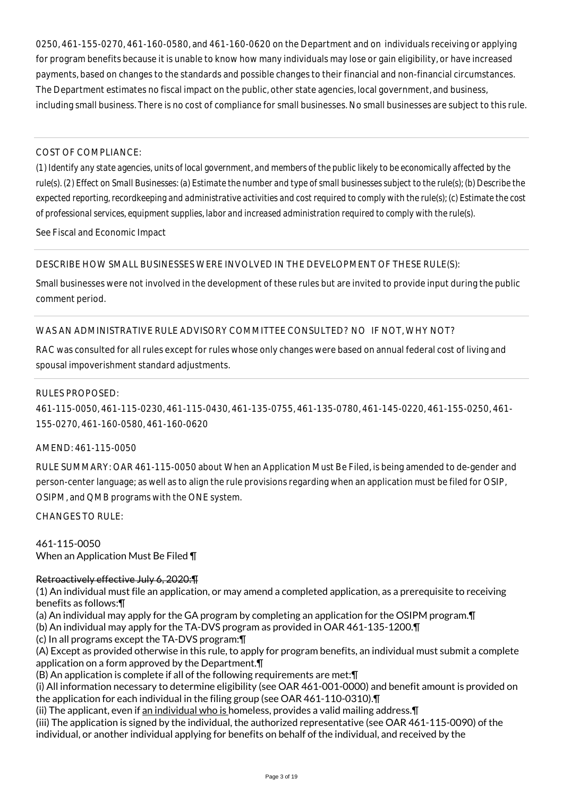0250, 461-155-0270, 461-160-0580, and 461-160-0620 on the Department and on individuals receiving or applying for program benefits because it is unable to know how many individuals may lose or gain eligibility, or have increased payments, based on changes to the standards and possible changes to their financial and non-financial circumstances. The Department estimates no fiscal impact on the public, other state agencies, local government, and business, including small business. There is no cost of compliance for small businesses. No small businesses are subject to this rule.

### COST OF COMPLIANCE:

*(1) Identify any state agencies, units of local government, and members of the public likely to be economically affected by the rule(s). (2) Effect on Small Businesses: (a) Estimate the number and type of small businesses subject to the rule(s); (b) Describe the expected reporting, recordkeeping and administrative activities and cost required to comply with the rule(s); (c) Estimate the cost of professional services, equipment supplies, labor and increased administration required to comply with the rule(s).*

See Fiscal and Economic Impact

DESCRIBE HOW SMALL BUSINESSES WERE INVOLVED IN THE DEVELOPMENT OF THESE RULE(S):

Small businesses were not involved in the development of these rules but are invited to provide input during the public comment period.

# WAS AN ADMINISTRATIVE RULE ADVISORY COMMITTEE CONSULTED? NO IF NOT, WHY NOT?

RAC was consulted for all rules except for rules whose only changes were based on annual federal cost of living and spousal impoverishment standard adjustments.

#### RULES PROPOSED:

461-115-0050, 461-115-0230, 461-115-0430, 461-135-0755, 461-135-0780, 461-145-0220, 461-155-0250, 461- 155-0270, 461-160-0580, 461-160-0620

#### AMEND: 461-115-0050

RULE SUMMARY: OAR 461-115-0050 about When an Application Must Be Filed, is being amended to de-gender and person-center language; as well as to align the rule provisions regarding when an application must be filed for OSIP, OSIPM, and QMB programs with the ONE system.

CHANGES TO RULE:

461-115-0050 When an Application Must Be Filed ¶

# Retroactively effective July 6, 2020:¶

(1) An individual must file an application, or may amend a completed application, as a prerequisite to receiving benefits as follows:¶

(a) An individual may apply for the GA program by completing an application for the OSIPM program.¶

(b) An individual may apply for the TA-DVS program as provided in OAR 461-135-1200.¶

(c) In all programs except the TA-DVS program:¶

(A) Except as provided otherwise in this rule, to apply for program benefits, an individual must submit a complete application on a form approved by the Department.¶

(B) An application is complete if all of the following requirements are met:¶

(i) All information necessary to determine eligibility (see OAR 461-001-0000) and benefit amount is provided on the application for each individual in the filing group (see OAR 461-110-0310).¶

(ii) The applicant, even if an individual who is homeless, provides a valid mailing address.¶

(iii) The application is signed by the individual, the authorized representative (see OAR 461-115-0090) of the

individual, or another individual applying for benefits on behalf of the individual, and received by the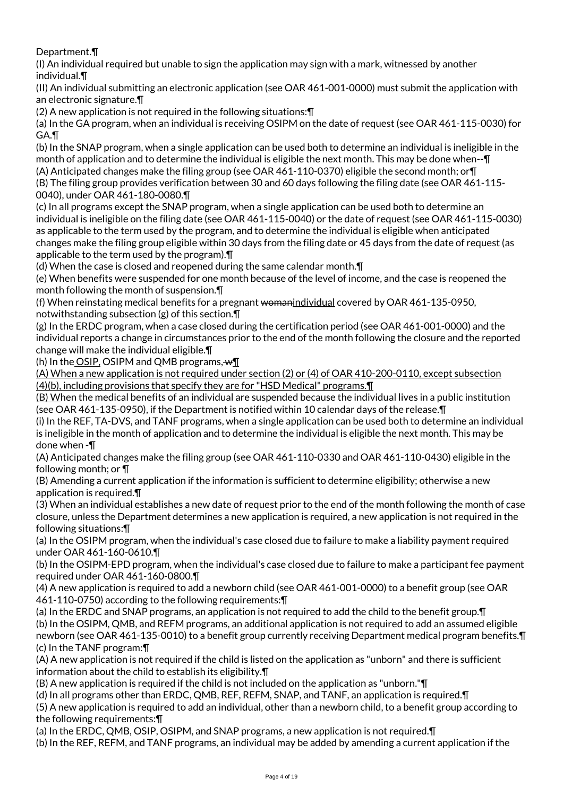Department.¶

(I) An individual required but unable to sign the application may sign with a mark, witnessed by another individual.¶

(II) An individual submitting an electronic application (see OAR 461-001-0000) must submit the application with an electronic signature.¶

(2) A new application is not required in the following situations:¶

(a) In the GA program, when an individual is receiving OSIPM on the date of request (see OAR 461-115-0030) for GA.¶

(b) In the SNAP program, when a single application can be used both to determine an individual is ineligible in the month of application and to determine the individual is eligible the next month. This may be done when--¶ (A) Anticipated changes make the filing group (see OAR 461-110-0370) eligible the second month; or¶ (B) The filing group provides verification between 30 and 60 days following the filing date (see OAR 461-115- 0040), under OAR 461-180-0080.¶

(c) In all programs except the SNAP program, when a single application can be used both to determine an individual is ineligible on the filing date (see OAR 461-115-0040) or the date of request (see OAR 461-115-0030) as applicable to the term used by the program, and to determine the individual is eligible when anticipated changes make the filing group eligible within 30 days from the filing date or 45 days from the date of request (as applicable to the term used by the program).¶

(d) When the case is closed and reopened during the same calendar month.¶

(e) When benefits were suspended for one month because of the level of income, and the case is reopened the month following the month of suspension.¶

(f) When reinstating medical benefits for a pregnant womanindividual covered by OAR 461-135-0950. notwithstanding subsection (g) of this section.¶

(g) In the ERDC program, when a case closed during the certification period (see OAR 461-001-0000) and the individual reports a change in circumstances prior to the end of the month following the closure and the reported change will make the individual eligible.¶

(h) In the OSIP, OSIPM and QMB programs,  $wT$ 

(A) When a new application is not required under section (2) or (4) of OAR 410-200-0110, except subsection (4)(b), including provisions that specify they are for "HSD Medical" programs.¶

(B) When the medical benefits of an individual are suspended because the individual lives in a public institution (see OAR 461-135-0950), if the Department is notified within 10 calendar days of the release.¶

(i) In the REF, TA-DVS, and TANF programs, when a single application can be used both to determine an individual is ineligible in the month of application and to determine the individual is eligible the next month. This may be done when -¶

(A) Anticipated changes make the filing group (see OAR 461-110-0330 and OAR 461-110-0430) eligible in the following month; or ¶

(B) Amending a current application if the information is sufficient to determine eligibility; otherwise a new application is required.¶

(3) When an individual establishes a new date of request prior to the end of the month following the month of case closure, unless the Department determines a new application is required, a new application is not required in the following situations:¶

(a) In the OSIPM program, when the individual's case closed due to failure to make a liability payment required under OAR 461-160-0610.¶

(b) In the OSIPM-EPD program, when the individual's case closed due to failure to make a participant fee payment required under OAR 461-160-0800.¶

(4) A new application is required to add a newborn child (see OAR 461-001-0000) to a benefit group (see OAR 461-110-0750) according to the following requirements:¶

(a) In the ERDC and SNAP programs, an application is not required to add the child to the benefit group.¶ (b) In the OSIPM, QMB, and REFM programs, an additional application is not required to add an assumed eligible newborn (see OAR 461-135-0010) to a benefit group currently receiving Department medical program benefits. [1] (c) In the TANF program:¶

(A) A new application is not required if the child is listed on the application as "unborn" and there is sufficient information about the child to establish its eligibility.¶

(B) A new application is required if the child is not included on the application as "unborn."¶

(d) In all programs other than ERDC, QMB, REF, REFM, SNAP, and TANF, an application is required.¶

(5) A new application is required to add an individual, other than a newborn child, to a benefit group according to the following requirements:¶

(a) In the ERDC, QMB, OSIP, OSIPM, and SNAP programs, a new application is not required.¶

(b) In the REF, REFM, and TANF programs, an individual may be added by amending a current application if the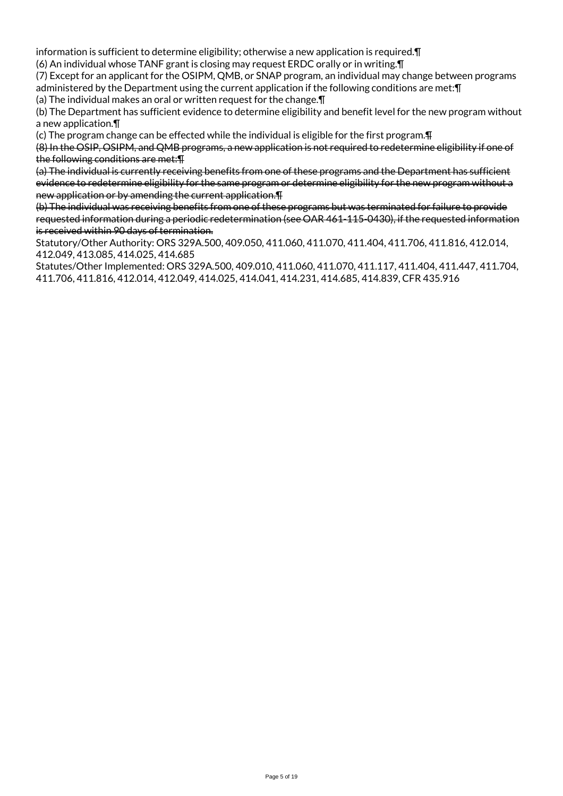information is sufficient to determine eligibility; otherwise a new application is required.¶ (6) An individual whose TANF grant is closing may request ERDC orally or in writing.¶

(7) Except for an applicant for the OSIPM, QMB, or SNAP program, an individual may change between programs administered by the Department using the current application if the following conditions are met:¶

(a) The individual makes an oral or written request for the change.¶

(b) The Department has sufficient evidence to determine eligibility and benefit level for the new program without a new application.¶

(c) The program change can be effected while the individual is eligible for the first program.¶

(8) In the OSIP, OSIPM, and QMB programs, a new application is not required to redetermine eligibility if one of the following conditions are met:¶

(a) The individual is currently receiving benefits from one of these programs and the Department has sufficient evidence to redetermine eligibility for the same program or determine eligibility for the new program without a new application or by amending the current application.¶

(b) The individual was receiving benefits from one of these programs but was terminated for failure to provide requested information during a periodic redetermination (see OAR 461-115-0430), if the requested information is received within 90 days of termination.

Statutory/Other Authority: ORS 329A.500, 409.050, 411.060, 411.070, 411.404, 411.706, 411.816, 412.014, 412.049, 413.085, 414.025, 414.685

Statutes/Other Implemented: ORS 329A.500, 409.010, 411.060, 411.070, 411.117, 411.404, 411.447, 411.704, 411.706, 411.816, 412.014, 412.049, 414.025, 414.041, 414.231, 414.685, 414.839, CFR 435.916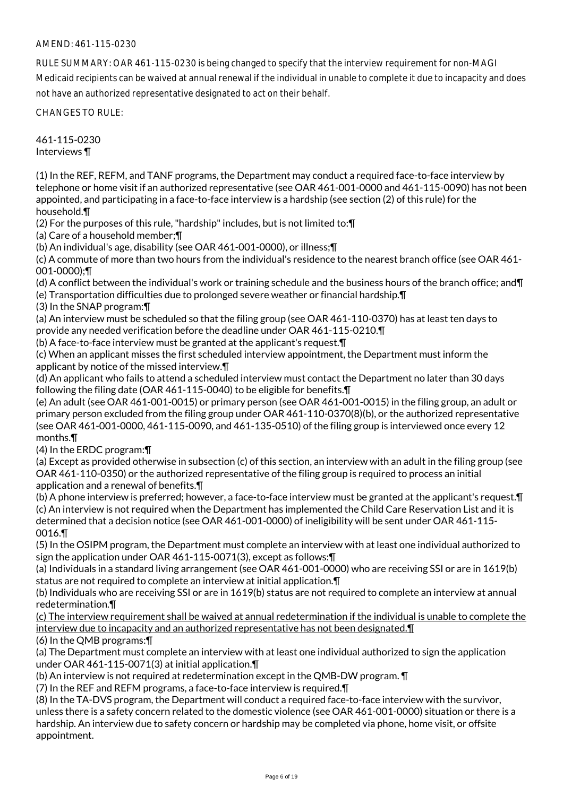## AMEND: 461-115-0230

RULE SUMMARY: OAR 461-115-0230 is being changed to specify that the interview requirement for non-MAGI Medicaid recipients can be waived at annual renewal if the individual in unable to complete it due to incapacity and does not have an authorized representative designated to act on their behalf.

CHANGES TO RULE:

461-115-0230 Interviews ¶

(1) In the REF, REFM, and TANF programs, the Department may conduct a required face-to-face interview by telephone or home visit if an authorized representative (see OAR 461-001-0000 and 461-115-0090) has not been appointed, and participating in a face-to-face interview is a hardship (see section (2) of this rule) for the household.¶

(2) For the purposes of this rule, "hardship" includes, but is not limited to:¶

(a) Care of a household member;¶

(b) An individual's age, disability (see OAR 461-001-0000), or illness;¶

(c) A commute of more than two hours from the individual's residence to the nearest branch office (see OAR 461- 001-0000);¶

(d) A conflict between the individual's work or training schedule and the business hours of the branch office; and¶

(e) Transportation difficulties due to prolonged severe weather or financial hardship.¶

(3) In the SNAP program:¶

(a) An interview must be scheduled so that the filing group (see OAR 461-110-0370) has at least ten days to provide any needed verification before the deadline under OAR 461-115-0210.¶

(b) A face-to-face interview must be granted at the applicant's request.¶

(c) When an applicant misses the first scheduled interview appointment, the Department must inform the applicant by notice of the missed interview.¶

(d) An applicant who fails to attend a scheduled interview must contact the Department no later than 30 days following the filing date (OAR 461-115-0040) to be eligible for benefits.¶

(e) An adult (see OAR 461-001-0015) or primary person (see OAR 461-001-0015) in the filing group, an adult or primary person excluded from the filing group under OAR 461-110-0370(8)(b), or the authorized representative (see OAR 461-001-0000, 461-115-0090, and 461-135-0510) of the filing group is interviewed once every 12 months.¶

(4) In the ERDC program:¶

(a) Except as provided otherwise in subsection (c) of this section, an interview with an adult in the filing group (see OAR 461-110-0350) or the authorized representative of the filing group is required to process an initial application and a renewal of benefits.¶

(b) A phone interview is preferred; however, a face-to-face interview must be granted at the applicant's request.¶ (c) An interview is not required when the Department has implemented the Child Care Reservation List and it is determined that a decision notice (see OAR 461-001-0000) of ineligibility will be sent under OAR 461-115- 0016.¶

(5) In the OSIPM program, the Department must complete an interview with at least one individual authorized to sign the application under OAR 461-115-0071(3), except as follows:¶

(a) Individuals in a standard living arrangement (see OAR 461-001-0000) who are receiving SSI or are in 1619(b) status are not required to complete an interview at initial application.¶

(b) Individuals who are receiving SSI or are in 1619(b) status are not required to complete an interview at annual redetermination.¶

(c) The interview requirement shall be waived at annual redetermination if the individual is unable to complete the interview due to incapacity and an authorized representative has not been designated.¶

(6) In the QMB programs:¶

(a) The Department must complete an interview with at least one individual authorized to sign the application under OAR 461-115-0071(3) at initial application.¶

(b) An interview is not required at redetermination except in the QMB-DW program. ¶

(7) In the REF and REFM programs, a face-to-face interview is required.¶

(8) In the TA-DVS program, the Department will conduct a required face-to-face interview with the survivor, unless there is a safety concern related to the domestic violence (see OAR 461-001-0000) situation or there is a hardship. An interview due to safety concern or hardship may be completed via phone, home visit, or offsite appointment.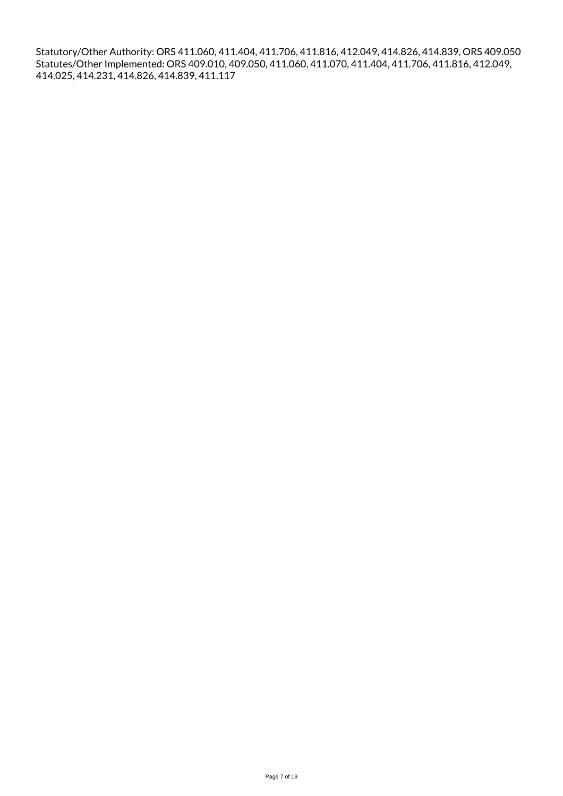Statutory/Other Authority: ORS 411.060, 411.404, 411.706, 411.816, 412.049, 414.826, 414.839, ORS 409.050 Statutes/Other Implemented: ORS 409.010, 409.050, 411.060, 411.070, 411.404, 411.706, 411.816, 412.049, 414.025, 414.231, 414.826, 414.839, 411.117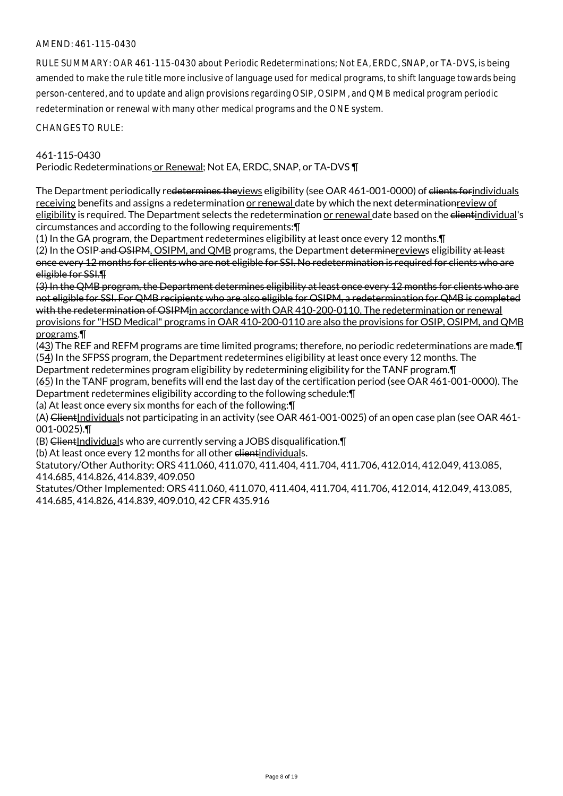## AMEND: 461-115-0430

RULE SUMMARY: OAR 461-115-0430 about Periodic Redeterminations; Not EA, ERDC, SNAP, or TA-DVS, is being amended to make the rule title more inclusive of language used for medical programs, to shift language towards being person-centered, and to update and align provisions regarding OSIP, OSIPM, and QMB medical program periodic redetermination or renewal with many other medical programs and the ONE system.

CHANGES TO RULE:

#### 461-115-0430

Periodic Redeterminations or Renewal; Not EA, ERDC, SNAP, or TA-DVS ¶

The Department periodically redetermines theviews eligibility (see OAR 461-001-0000) of clients forindividuals receiving benefits and assigns a redetermination or renewal date by which the next determination review of eligibility is required. The Department selects the redetermination or renewal date based on the elientindividual's circumstances and according to the following requirements:¶

(1) In the GA program, the Department redetermines eligibility at least once every 12 months.¶

(2) In the OSIP-and OSIPM, OSIPM, and QMB programs, the Department determinereviews eligibility at least once every 12 months for clients who are not eligible for SSI. No redetermination is required for clients who are eligible for SSI.¶

(3) In the QMB program, the Department determines eligibility at least once every 12 months for clients who are not eligible for SSI. For QMB recipients who are also eligible for OSIPM, a redetermination for QMB is completed with the redetermination of OSIPMin accordance with OAR 410-200-0110. The redetermination or renewal provisions for "HSD Medical" programs in OAR 410-200-0110 are also the provisions for OSIP, OSIPM, and QMB programs.¶

(43) The REF and REFM programs are time limited programs; therefore, no periodic redeterminations are made.¶ (54) In the SFPSS program, the Department redetermines eligibility at least once every 12 months. The

Department redetermines program eligibility by redetermining eligibility for the TANF program.¶

(65) In the TANF program, benefits will end the last day of the certification period (see OAR 461-001-0000). The Department redetermines eligibility according to the following schedule:¶

(a) At least once every six months for each of the following:¶

(A) ClientIndividuals not participating in an activity (see OAR 461-001-0025) of an open case plan (see OAR 461-001-0025).¶

 $(B)$  ClientIndividuals who are currently serving a JOBS disqualification. $\P$ 

(b) At least once every 12 months for all other elientindividuals.

Statutory/Other Authority: ORS 411.060, 411.070, 411.404, 411.704, 411.706, 412.014, 412.049, 413.085, 414.685, 414.826, 414.839, 409.050

Statutes/Other Implemented: ORS 411.060, 411.070, 411.404, 411.704, 411.706, 412.014, 412.049, 413.085, 414.685, 414.826, 414.839, 409.010, 42 CFR 435.916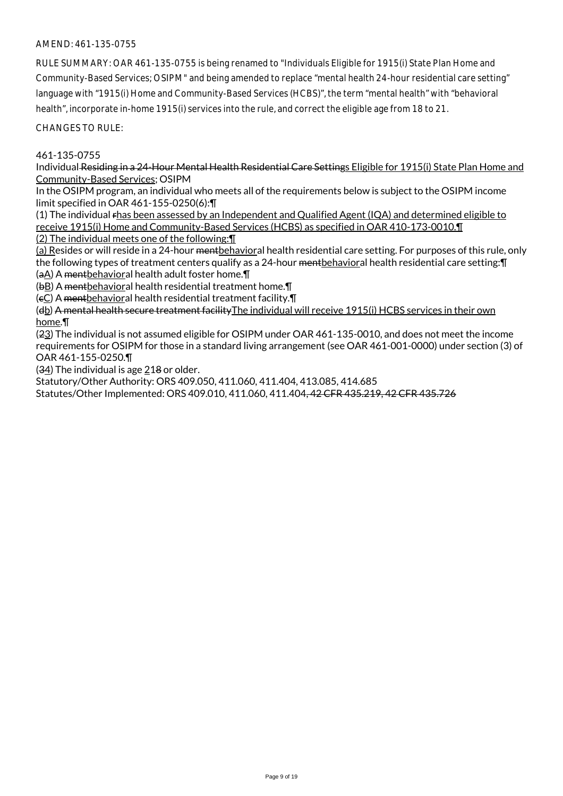## AMEND: 461-135-0755

RULE SUMMARY: OAR 461-135-0755 is being renamed to "Individuals Eligible for 1915(i) State Plan Home and Community-Based Services; OSIPM" and being amended to replace "mental health 24-hour residential care setting" language with "1915(i) Home and Community-Based Services (HCBS)", the term "mental health" with "behavioral health", incorporate in-home 1915(i) services into the rule, and correct the eligible age from 18 to 21.

CHANGES TO RULE:

#### 461-135-0755

Individual Residing in a 24-Hour Mental Health Residential Care Settings Eligible for 1915(i) State Plan Home and Community-Based Services; OSIPM

In the OSIPM program, an individual who meets all of the requirements below is subject to the OSIPM income limit specified in OAR 461-155-0250(6):¶

(1) The individual rhas been assessed by an Independent and Qualified Agent (IQA) and determined eligible to receive 1915(i) Home and Community-Based Services (HCBS) as specified in OAR 410-173-0010.¶

(2) The individual meets one of the following:¶

(a) Resides or will reside in a 24-hour mentbehavioral health residential care setting. For purposes of this rule, only the following types of treatment centers qualify as a 24-hour mentbehavioral health residential care setting: [I (aA) A mentbehavioral health adult foster home.¶

(bB) A mentbehavioral health residential treatment home.¶

(cC) A mentbehavioral health residential treatment facility.¶

(db) A mental health secure treatment facilityThe individual will receive 1915(i) HCBS services in their own home.¶

(23) The individual is not assumed eligible for OSIPM under OAR 461-135-0010, and does not meet the income requirements for OSIPM for those in a standard living arrangement (see OAR 461-001-0000) under section (3) of OAR 461-155-0250.¶

 $(34)$  The individual is age 218 or older.

Statutory/Other Authority: ORS 409.050, 411.060, 411.404, 413.085, 414.685

Statutes/Other Implemented: ORS 409.010, 411.060, 411.404, 42 CFR 435.219, 42 CFR 435.726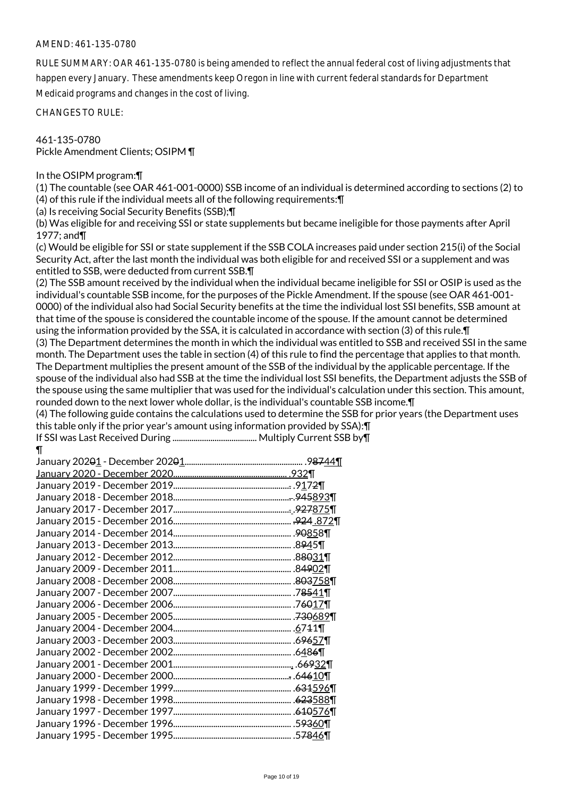#### AMEND: 461-135-0780

RULE SUMMARY: OAR 461-135-0780 is being amended to reflect the annual federal cost of living adjustments that happen every January. These amendments keep Oregon in line with current federal standards for Department Medicaid programs and changes in the cost of living.

CHANGES TO RULE:

461-135-0780 Pickle Amendment Clients; OSIPM ¶

In the OSIPM program:¶

(1) The countable (see OAR 461-001-0000) SSB income of an individual is determined according to sections (2) to (4) of this rule if the individual meets all of the following requirements:¶

(a) Is receiving Social Security Benefits (SSB);¶

(b) Was eligible for and receiving SSI or state supplements but became ineligible for those payments after April 1977; and¶

(c) Would be eligible for SSI or state supplement if the SSB COLA increases paid under section 215(i) of the Social Security Act, after the last month the individual was both eligible for and received SSI or a supplement and was entitled to SSB, were deducted from current SSB.¶

(2) The SSB amount received by the individual when the individual became ineligible for SSI or OSIP is used as the individual's countable SSB income, for the purposes of the Pickle Amendment. If the spouse (see OAR 461-001- 0000) of the individual also had Social Security benefits at the time the individual lost SSI benefits, SSB amount at that time of the spouse is considered the countable income of the spouse. If the amount cannot be determined using the information provided by the SSA, it is calculated in accordance with section (3) of this rule.¶ (3) The Department determines the month in which the individual was entitled to SSB and received SSI in the same month. The Department uses the table in section (4) of this rule to find the percentage that applies to that month. The Department multiplies the present amount of the SSB of the individual by the applicable percentage. If the spouse of the individual also had SSB at the time the individual lost SSI benefits, the Department adjusts the SSB of the spouse using the same multiplier that was used for the individual's calculation under this section. This amount,

rounded down to the next lower whole dollar, is the individual's countable SSB income.¶

(4) The following guide contains the calculations used to determine the SSB for prior years (the Department uses this table only if the prior year's amount using information provided by SSA):¶

```
If SSI was Last Received During ........................................ Multiply Current SSB by¶
¶
```

|                              | .9 <del>87</del> 44¶ |
|------------------------------|----------------------|
|                              |                      |
|                              |                      |
|                              |                      |
|                              |                      |
|                              |                      |
|                              |                      |
|                              |                      |
|                              |                      |
|                              |                      |
|                              |                      |
|                              |                      |
|                              |                      |
|                              |                      |
|                              |                      |
|                              |                      |
|                              |                      |
| January 2001 - December 2001 |                      |
|                              |                      |
|                              |                      |
|                              |                      |
|                              |                      |
|                              |                      |
|                              |                      |
|                              |                      |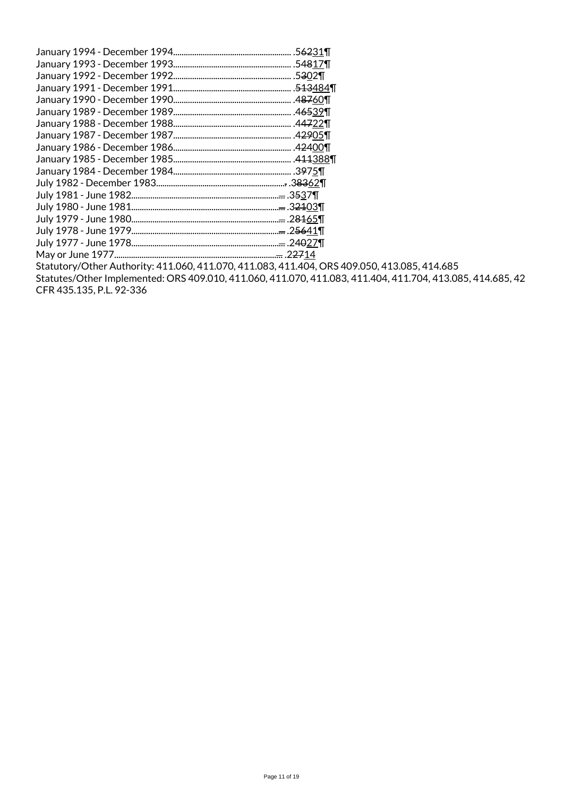| January 1994 - December 1994<br> | .5 <del>62</del> 31¶               |
|----------------------------------|------------------------------------|
| January 1993 - December 1993     | .54817¶                            |
| January 1992 - December 1992.    | .5302¶                             |
| January 1991 - December 1991.    | . <del>513</del> 484¶              |
| January 1990 - December 1990     | .48760¶                            |
| January 1989 - December 1989     | .46539¶                            |
| January 1988 - December 1988     | .44722¶                            |
|                                  | .42905¶                            |
| January 1986 - December 1986     | .42400¶                            |
| January 1985 - December 1985     | .411388¶                           |
|                                  | .3975                              |
|                                  |                                    |
|                                  | <del></del> .3537¶                 |
|                                  | . <del></del> .3 <del>21</del> 03¶ |
|                                  | . <del></del> .2 <del>81</del> 65¶ |
|                                  | <del></del> .2 <del>56</del> 41¶   |
|                                  | <del></del> .24 <del>0</del> 27¶   |
| May or June 1977                 | . <del></del> .2 <del>27</del> 14  |
| 11122221112222                   |                                    |

Statutory/Other Authority: 411.060, 411.070, 411.083, 411.404, ORS 409.050, 413.085, 414.685 Statutes/Other Implemented: ORS 409.010, 411.060, 411.070, 411.083, 411.404, 411.704, 413.085, 414.685, 42 CFR 435.135, P.L. 92-336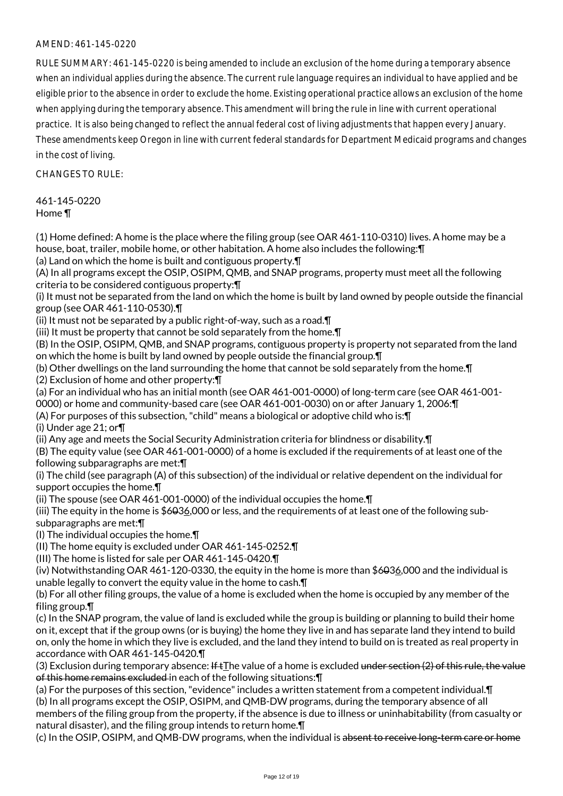## AMEND: 461-145-0220

RULE SUMMARY: 461-145-0220 is being amended to include an exclusion of the home during a temporary absence when an individual applies during the absence. The current rule language requires an individual to have applied and be eligible prior to the absence in order to exclude the home. Existing operational practice allows an exclusion of the home when applying during the temporary absence. This amendment will bring the rule in line with current operational practice. It is also being changed to reflect the annual federal cost of living adjustments that happen every January. These amendments keep Oregon in line with current federal standards for Department Medicaid programs and changes in the cost of living.

CHANGES TO RULE:

461-145-0220 Home ¶

(1) Home defined: A home is the place where the filing group (see OAR 461-110-0310) lives. A home may be a house, boat, trailer, mobile home, or other habitation. A home also includes the following:¶ (a) Land on which the home is built and contiguous property.¶

(A) In all programs except the OSIP, OSIPM, QMB, and SNAP programs, property must meet all the following criteria to be considered contiguous property:¶

(i) It must not be separated from the land on which the home is built by land owned by people outside the financial group (see OAR 461-110-0530).¶

(ii) It must not be separated by a public right-of-way, such as a road.¶

(iii) It must be property that cannot be sold separately from the home.¶

(B) In the OSIP, OSIPM, QMB, and SNAP programs, contiguous property is property not separated from the land on which the home is built by land owned by people outside the financial group.¶

(b) Other dwellings on the land surrounding the home that cannot be sold separately from the home.¶ (2) Exclusion of home and other property:¶

(a) For an individual who has an initial month (see OAR 461-001-0000) of long-term care (see OAR 461-001-

0000) or home and community-based care (see OAR 461-001-0030) on or after January 1, 2006:¶

(A) For purposes of this subsection, "child" means a biological or adoptive child who is:¶

(i) Under age 21; or¶

(ii) Any age and meets the Social Security Administration criteria for blindness or disability.¶

(B) The equity value (see OAR 461-001-0000) of a home is excluded if the requirements of at least one of the following subparagraphs are met:¶

(i) The child (see paragraph (A) of this subsection) of the individual or relative dependent on the individual for support occupies the home.¶

(ii) The spouse (see OAR 461-001-0000) of the individual occupies the home.¶

(iii) The equity in the home is \$6036,000 or less, and the requirements of at least one of the following subsubparagraphs are met:¶

(I) The individual occupies the home.¶

(II) The home equity is excluded under OAR 461-145-0252.¶

(III) The home is listed for sale per OAR 461-145-0420.¶

(iv) Notwithstanding OAR 461-120-0330, the equity in the home is more than \$6036,000 and the individual is unable legally to convert the equity value in the home to cash.¶

(b) For all other filing groups, the value of a home is excluded when the home is occupied by any member of the filing group.¶

(c) In the SNAP program, the value of land is excluded while the group is building or planning to build their home on it, except that if the group owns (or is buying) the home they live in and has separate land they intend to build on, only the home in which they live is excluded, and the land they intend to build on is treated as real property in accordance with OAR 461-145-0420.¶

(3) Exclusion during temporary absence: If  $tI$ he value of a home is excluded under section (2) of this rule, the value of this home remains excluded in each of the following situations:¶

(a) For the purposes of this section, "evidence" includes a written statement from a competent individual.¶ (b) In all programs except the OSIP, OSIPM, and QMB-DW programs, during the temporary absence of all members of the filing group from the property, if the absence is due to illness or uninhabitability (from casualty or natural disaster), and the filing group intends to return home.¶

(c) In the OSIP, OSIPM, and QMB-DW programs, when the individual is absent to receive long-term care or home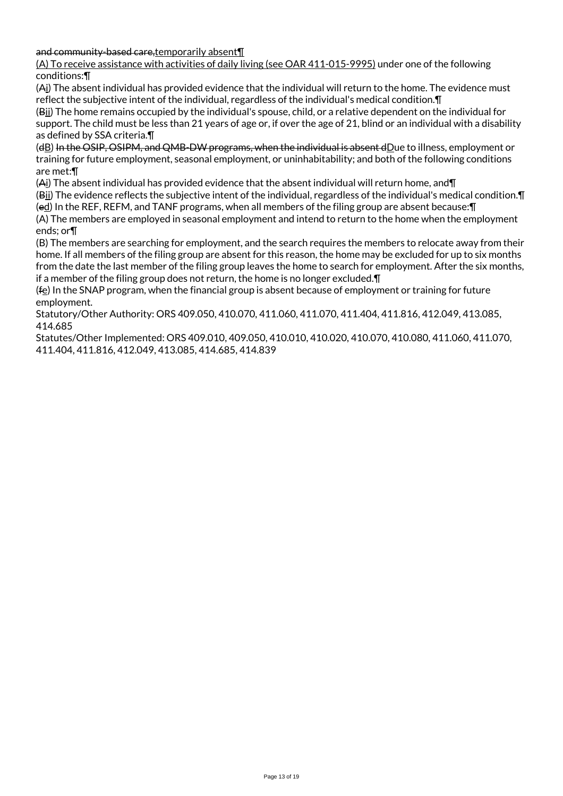and community-based care,temporarily absent¶

(A) To receive assistance with activities of daily living (see OAR 411-015-9995) under one of the following conditions:¶

(Ai) The absent individual has provided evidence that the individual will return to the home. The evidence must reflect the subjective intent of the individual, regardless of the individual's medical condition.¶

(Bii) The home remains occupied by the individual's spouse, child, or a relative dependent on the individual for support. The child must be less than 21 years of age or, if over the age of 21, blind or an individual with a disability as defined by SSA criteria.¶

(dB) In the OSIP, OSIPM, and QMB-DW programs, when the individual is absent dDue to illness, employment or training for future employment, seasonal employment, or uninhabitability; and both of the following conditions are met:¶

(Ai) The absent individual has provided evidence that the absent individual will return home, and¶

(Bii) The evidence reflects the subjective intent of the individual, regardless of the individual's medical condition.¶ (ed) In the REF, REFM, and TANF programs, when all members of the filing group are absent because:¶

(A) The members are employed in seasonal employment and intend to return to the home when the employment ends; or¶

(B) The members are searching for employment, and the search requires the members to relocate away from their home. If all members of the filing group are absent for this reason, the home may be excluded for up to six months from the date the last member of the filing group leaves the home to search for employment. After the six months, if a member of the filing group does not return, the home is no longer excluded.¶

 $(f<sub>e</sub>)$  In the SNAP program, when the financial group is absent because of employment or training for future employment.

Statutory/Other Authority: ORS 409.050, 410.070, 411.060, 411.070, 411.404, 411.816, 412.049, 413.085, 414.685

Statutes/Other Implemented: ORS 409.010, 409.050, 410.010, 410.020, 410.070, 410.080, 411.060, 411.070, 411.404, 411.816, 412.049, 413.085, 414.685, 414.839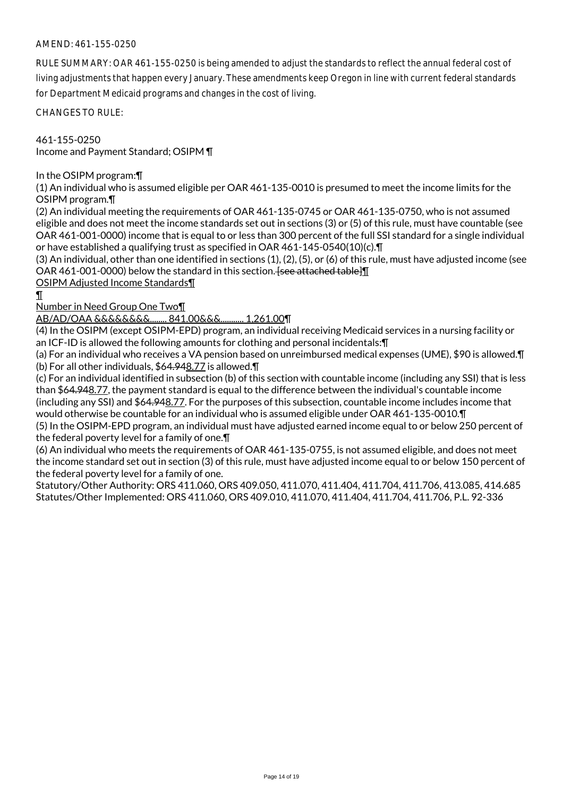## AMEND: 461-155-0250

RULE SUMMARY: OAR 461-155-0250 is being amended to adjust the standards to reflect the annual federal cost of living adjustments that happen every January. These amendments keep Oregon in line with current federal standards for Department Medicaid programs and changes in the cost of living.

CHANGES TO RULE:

461-155-0250 Income and Payment Standard; OSIPM ¶

In the OSIPM program:¶

(1) An individual who is assumed eligible per OAR 461-135-0010 is presumed to meet the income limits for the OSIPM program.¶

(2) An individual meeting the requirements of OAR 461-135-0745 or OAR 461-135-0750, who is not assumed eligible and does not meet the income standards set out in sections (3) or (5) of this rule, must have countable (see OAR 461-001-0000) income that is equal to or less than 300 percent of the full SSI standard for a single individual or have established a qualifying trust as specified in OAR 461-145-0540(10)(c).¶

(3) An individual, other than one identified in sections (1), (2), (5), or (6) of this rule, must have adjusted income (see OAR 461-001-0000) below the standard in this section. [see attached table]

OSIPM Adjusted Income Standards¶

¶

Number in Need Group One Two¶

AB/AD/OAA &&&&&&&&........ 841.00&&&........... 1,261.00¶

(4) In the OSIPM (except OSIPM-EPD) program, an individual receiving Medicaid services in a nursing facility or an ICF-ID is allowed the following amounts for clothing and personal incidentals:¶

(a) For an individual who receives a VA pension based on unreimbursed medical expenses (UME), \$90 is allowed.¶ (b) For all other individuals, \$64.948.77 is allowed.¶

(c) For an individual identified in subsection (b) of this section with countable income (including any SSI) that is less than \$64.948.77, the payment standard is equal to the difference between the individual's countable income (including any SSI) and \$64.948.77. For the purposes of this subsection, countable income includes income that would otherwise be countable for an individual who is assumed eligible under OAR 461-135-0010.¶

(5) In the OSIPM-EPD program, an individual must have adjusted earned income equal to or below 250 percent of the federal poverty level for a family of one.¶

(6) An individual who meets the requirements of OAR 461-135-0755, is not assumed eligible, and does not meet the income standard set out in section (3) of this rule, must have adjusted income equal to or below 150 percent of the federal poverty level for a family of one.

Statutory/Other Authority: ORS 411.060, ORS 409.050, 411.070, 411.404, 411.704, 411.706, 413.085, 414.685 Statutes/Other Implemented: ORS 411.060, ORS 409.010, 411.070, 411.404, 411.704, 411.706, P.L. 92-336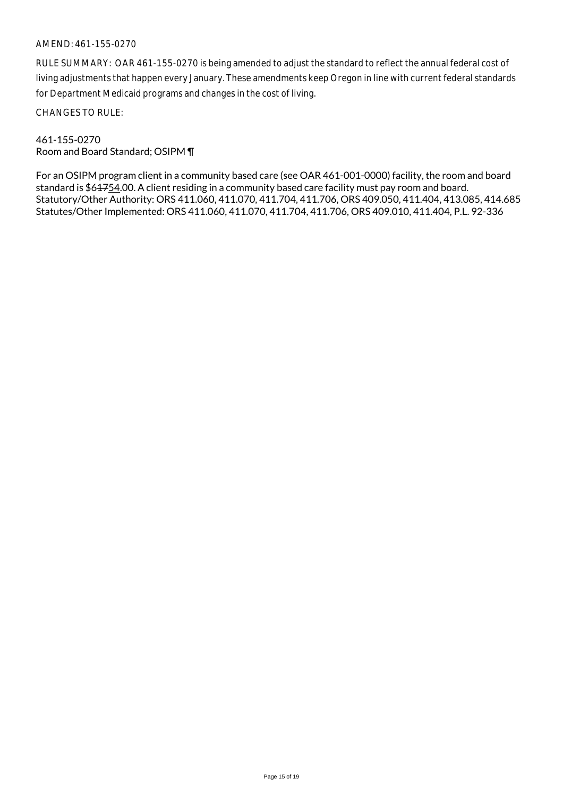#### AMEND: 461-155-0270

RULE SUMMARY: OAR 461-155-0270 is being amended to adjust the standard to reflect the annual federal cost of living adjustments that happen every January. These amendments keep Oregon in line with current federal standards for Department Medicaid programs and changes in the cost of living.

CHANGES TO RULE:

#### 461-155-0270 Room and Board Standard; OSIPM ¶

For an OSIPM program client in a community based care (see OAR 461-001-0000) facility, the room and board standard is \$64754.00. A client residing in a community based care facility must pay room and board. Statutory/Other Authority: ORS 411.060, 411.070, 411.704, 411.706, ORS 409.050, 411.404, 413.085, 414.685 Statutes/Other Implemented: ORS 411.060, 411.070, 411.704, 411.706, ORS 409.010, 411.404, P.L. 92-336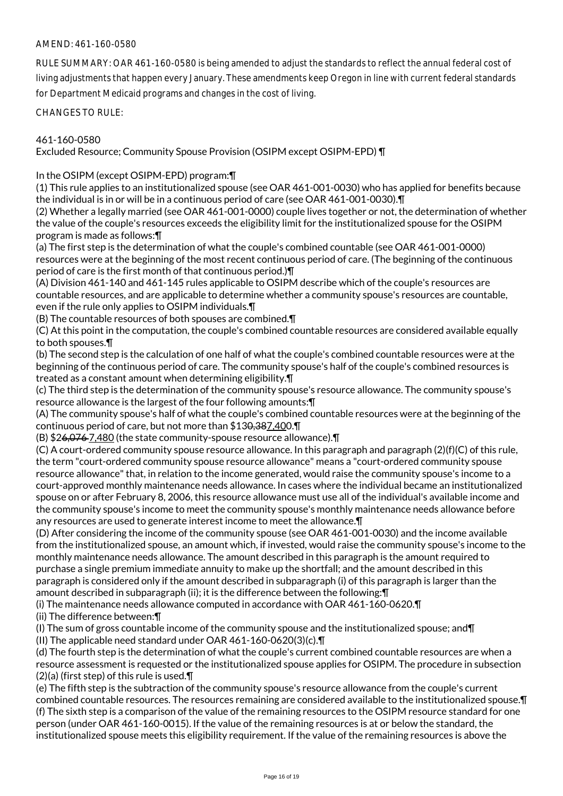## AMEND: 461-160-0580

RULE SUMMARY: OAR 461-160-0580 is being amended to adjust the standards to reflect the annual federal cost of living adjustments that happen every January. These amendments keep Oregon in line with current federal standards for Department Medicaid programs and changes in the cost of living.

CHANGES TO RULE:

### 461-160-0580

Excluded Resource; Community Spouse Provision (OSIPM except OSIPM-EPD) ¶

In the OSIPM (except OSIPM-EPD) program:¶

(1) This rule applies to an institutionalized spouse (see OAR 461-001-0030) who has applied for benefits because the individual is in or will be in a continuous period of care (see OAR 461-001-0030).¶

(2) Whether a legally married (see OAR 461-001-0000) couple lives together or not, the determination of whether the value of the couple's resources exceeds the eligibility limit for the institutionalized spouse for the OSIPM program is made as follows:¶

(a) The first step is the determination of what the couple's combined countable (see OAR 461-001-0000) resources were at the beginning of the most recent continuous period of care. (The beginning of the continuous period of care is the first month of that continuous period.)¶

(A) Division 461-140 and 461-145 rules applicable to OSIPM describe which of the couple's resources are countable resources, and are applicable to determine whether a community spouse's resources are countable, even if the rule only applies to OSIPM individuals.¶

(B) The countable resources of both spouses are combined.¶

(C) At this point in the computation, the couple's combined countable resources are considered available equally to both spouses.¶

(b) The second step is the calculation of one half of what the couple's combined countable resources were at the beginning of the continuous period of care. The community spouse's half of the couple's combined resources is treated as a constant amount when determining eligibility.¶

(c) The third step is the determination of the community spouse's resource allowance. The community spouse's resource allowance is the largest of the four following amounts:¶

(A) The community spouse's half of what the couple's combined countable resources were at the beginning of the continuous period of care, but not more than \$130,387,400.¶

(B) \$26,076 7,480 (the state community-spouse resource allowance).¶

(C) A court-ordered community spouse resource allowance. In this paragraph and paragraph (2)(f)(C) of this rule, the term "court-ordered community spouse resource allowance" means a "court-ordered community spouse resource allowance" that, in relation to the income generated, would raise the community spouse's income to a court-approved monthly maintenance needs allowance. In cases where the individual became an institutionalized spouse on or after February 8, 2006, this resource allowance must use all of the individual's available income and the community spouse's income to meet the community spouse's monthly maintenance needs allowance before any resources are used to generate interest income to meet the allowance.¶

(D) After considering the income of the community spouse (see OAR 461-001-0030) and the income available from the institutionalized spouse, an amount which, if invested, would raise the community spouse's income to the monthly maintenance needs allowance. The amount described in this paragraph is the amount required to purchase a single premium immediate annuity to make up the shortfall; and the amount described in this paragraph is considered only if the amount described in subparagraph (i) of this paragraph is larger than the amount described in subparagraph (ii); it is the difference between the following:¶

(i) The maintenance needs allowance computed in accordance with OAR 461-160-0620.¶

(ii) The difference between:¶

(I) The sum of gross countable income of the community spouse and the institutionalized spouse; and¶ (II) The applicable need standard under OAR 461-160-0620(3)(c).¶

(d) The fourth step is the determination of what the couple's current combined countable resources are when a resource assessment is requested or the institutionalized spouse applies for OSIPM. The procedure in subsection (2)(a) (first step) of this rule is used.¶

(e) The fifth step is the subtraction of the community spouse's resource allowance from the couple's current combined countable resources. The resources remaining are considered available to the institutionalized spouse.¶ (f) The sixth step is a comparison of the value of the remaining resources to the OSIPM resource standard for one person (under OAR 461-160-0015). If the value of the remaining resources is at or below the standard, the institutionalized spouse meets this eligibility requirement. If the value of the remaining resources is above the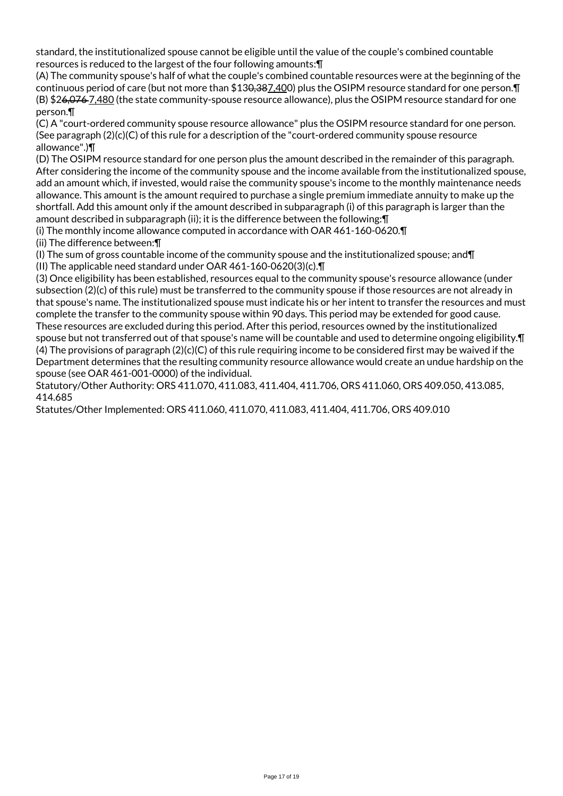standard, the institutionalized spouse cannot be eligible until the value of the couple's combined countable resources is reduced to the largest of the four following amounts:¶

(A) The community spouse's half of what the couple's combined countable resources were at the beginning of the continuous period of care (but not more than \$130,387,400) plus the OSIPM resource standard for one person. [1 (B) \$26,076 7,480 (the state community-spouse resource allowance), plus the OSIPM resource standard for one person.¶

(C) A "court-ordered community spouse resource allowance" plus the OSIPM resource standard for one person. (See paragraph  $(2)(c)(C)$  of this rule for a description of the "court-ordered community spouse resource allowance".)¶

(D) The OSIPM resource standard for one person plus the amount described in the remainder of this paragraph. After considering the income of the community spouse and the income available from the institutionalized spouse, add an amount which, if invested, would raise the community spouse's income to the monthly maintenance needs allowance. This amount is the amount required to purchase a single premium immediate annuity to make up the shortfall. Add this amount only if the amount described in subparagraph (i) of this paragraph is larger than the amount described in subparagraph (ii); it is the difference between the following:¶

(i) The monthly income allowance computed in accordance with OAR 461-160-0620.¶ (ii) The difference between:¶

(I) The sum of gross countable income of the community spouse and the institutionalized spouse; and¶

(II) The applicable need standard under OAR 461-160-0620(3)(c).¶

(3) Once eligibility has been established, resources equal to the community spouse's resource allowance (under subsection (2)(c) of this rule) must be transferred to the community spouse if those resources are not already in that spouse's name. The institutionalized spouse must indicate his or her intent to transfer the resources and must complete the transfer to the community spouse within 90 days. This period may be extended for good cause. These resources are excluded during this period. After this period, resources owned by the institutionalized spouse but not transferred out of that spouse's name will be countable and used to determine ongoing eligibility.¶ (4) The provisions of paragraph (2)(c)(C) of this rule requiring income to be considered first may be waived if the Department determines that the resulting community resource allowance would create an undue hardship on the spouse (see OAR 461-001-0000) of the individual.

Statutory/Other Authority: ORS 411.070, 411.083, 411.404, 411.706, ORS 411.060, ORS 409.050, 413.085, 414.685

Statutes/Other Implemented: ORS 411.060, 411.070, 411.083, 411.404, 411.706, ORS 409.010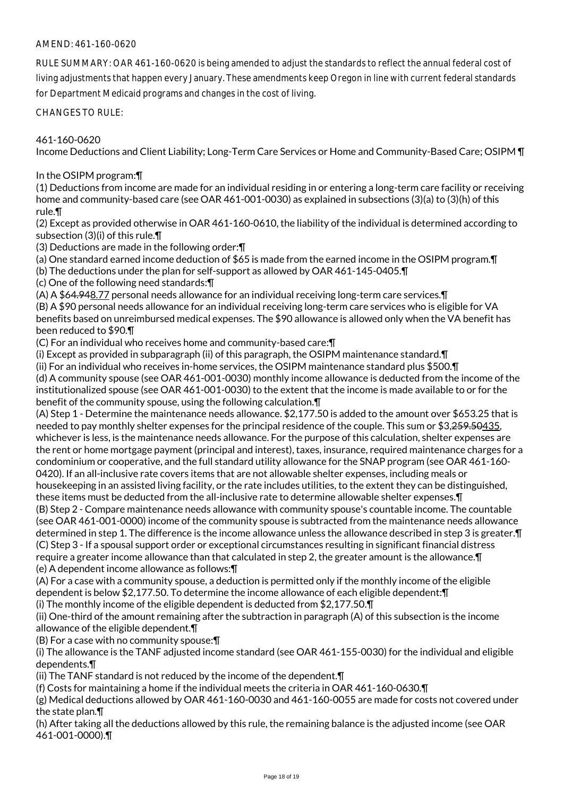## AMEND: 461-160-0620

RULE SUMMARY: OAR 461-160-0620 is being amended to adjust the standards to reflect the annual federal cost of living adjustments that happen every January. These amendments keep Oregon in line with current federal standards for Department Medicaid programs and changes in the cost of living.

CHANGES TO RULE:

### 461-160-0620

Income Deductions and Client Liability; Long-Term Care Services or Home and Community-Based Care; OSIPM ¶

#### In the OSIPM program:¶

(1) Deductions from income are made for an individual residing in or entering a long-term care facility or receiving home and community-based care (see OAR 461-001-0030) as explained in subsections (3)(a) to (3)(h) of this rule.¶

(2) Except as provided otherwise in OAR 461-160-0610, the liability of the individual is determined according to subsection (3)(i) of this rule.¶

(3) Deductions are made in the following order:¶

(a) One standard earned income deduction of \$65 is made from the earned income in the OSIPM program.¶

(b) The deductions under the plan for self-support as allowed by OAR 461-145-0405.¶

(c) One of the following need standards:¶

(A) A \$64.948.77 personal needs allowance for an individual receiving long-term care services.¶ (B) A \$90 personal needs allowance for an individual receiving long-term care services who is eligible for VA benefits based on unreimbursed medical expenses. The \$90 allowance is allowed only when the VA benefit has been reduced to \$90.¶

(C) For an individual who receives home and community-based care:¶

(i) Except as provided in subparagraph (ii) of this paragraph, the OSIPM maintenance standard.¶

(ii) For an individual who receives in-home services, the OSIPM maintenance standard plus \$500.¶ (d) A community spouse (see OAR 461-001-0030) monthly income allowance is deducted from the income of the institutionalized spouse (see OAR 461-001-0030) to the extent that the income is made available to or for the benefit of the community spouse, using the following calculation.¶

(A) Step 1 - Determine the maintenance needs allowance. \$2,177.50 is added to the amount over \$653.25 that is needed to pay monthly shelter expenses for the principal residence of the couple. This sum or \$3,259.50435, whichever is less, is the maintenance needs allowance. For the purpose of this calculation, shelter expenses are the rent or home mortgage payment (principal and interest), taxes, insurance, required maintenance charges for a condominium or cooperative, and the full standard utility allowance for the SNAP program (see OAR 461-160- 0420). If an all-inclusive rate covers items that are not allowable shelter expenses, including meals or housekeeping in an assisted living facility, or the rate includes utilities, to the extent they can be distinguished, these items must be deducted from the all-inclusive rate to determine allowable shelter expenses.¶ (B) Step 2 - Compare maintenance needs allowance with community spouse's countable income. The countable (see OAR 461-001-0000) income of the community spouse is subtracted from the maintenance needs allowance determined in step 1. The difference is the income allowance unless the allowance described in step 3 is greater.¶ (C) Step 3 - If a spousal support order or exceptional circumstances resulting in significant financial distress require a greater income allowance than that calculated in step 2, the greater amount is the allowance.¶

(e) A dependent income allowance as follows:¶

(A) For a case with a community spouse, a deduction is permitted only if the monthly income of the eligible dependent is below \$2,177.50. To determine the income allowance of each eligible dependent:¶

(i) The monthly income of the eligible dependent is deducted from \$2,177.50.¶

(ii) One-third of the amount remaining after the subtraction in paragraph (A) of this subsection is the income allowance of the eligible dependent.¶

(B) For a case with no community spouse:¶

(i) The allowance is the TANF adjusted income standard (see OAR 461-155-0030) for the individual and eligible dependents.¶

(ii) The TANF standard is not reduced by the income of the dependent.¶

(f) Costs for maintaining a home if the individual meets the criteria in OAR 461-160-0630.¶

(g) Medical deductions allowed by OAR 461-160-0030 and 461-160-0055 are made for costs not covered under the state plan.¶

(h) After taking all the deductions allowed by this rule, the remaining balance is the adjusted income (see OAR 461-001-0000).¶